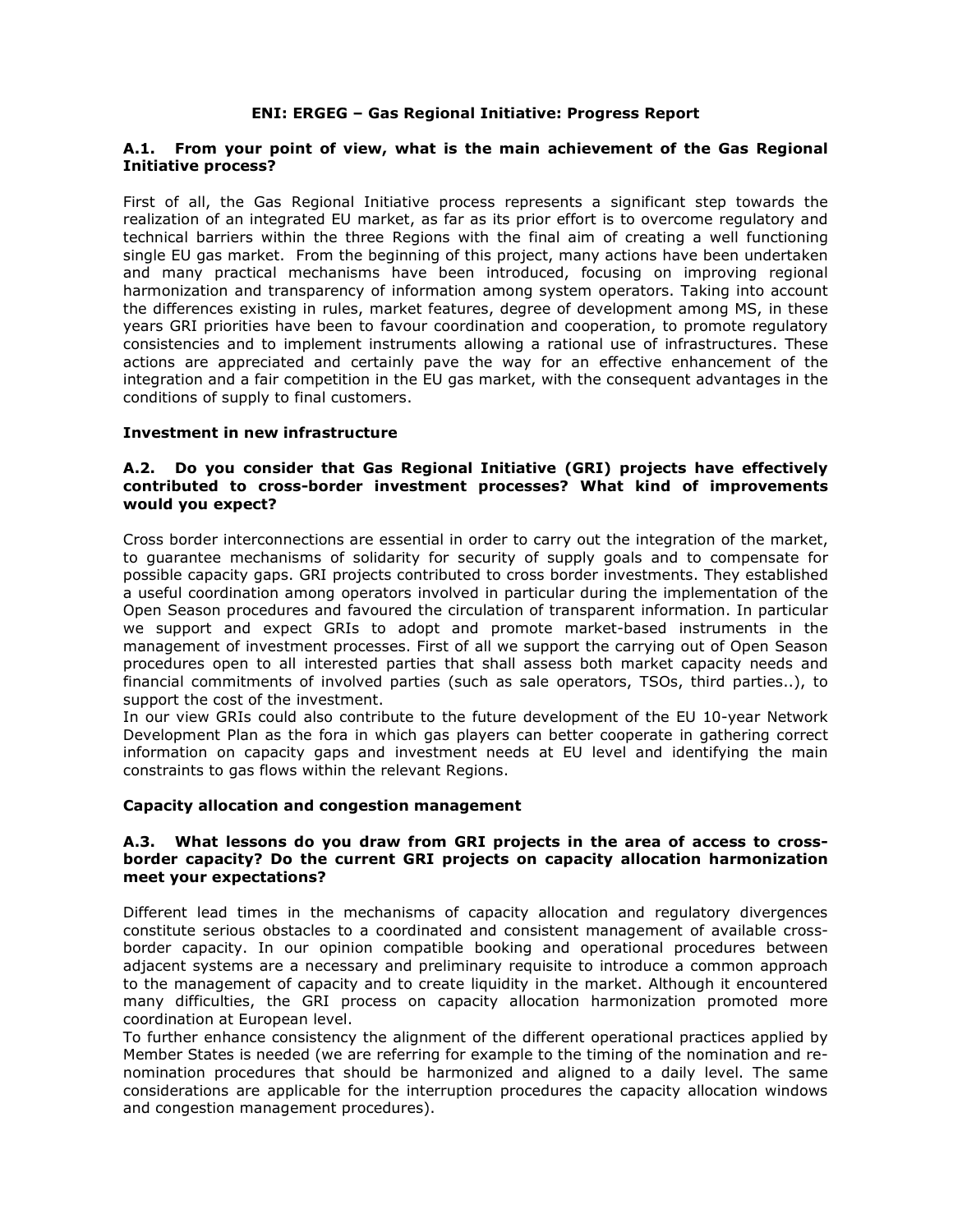# **A.1. From your point of view, what is the main achievement of the Gas Regional Initiative process?**

First of all, the Gas Regional Initiative process represents a significant step towards the realization of an integrated EU market, as far as its prior effort is to overcome regulatory and technical barriers within the three Regions with the final aim of creating a well functioning single EU gas market. From the beginning of this project, many actions have been undertaken and many practical mechanisms have been introduced, focusing on improving regional harmonization and transparency of information among system operators. Taking into account the differences existing in rules, market features, degree of development among MS, in these years GRI priorities have been to favour coordination and cooperation, to promote regulatory consistencies and to implement instruments allowing a rational use of infrastructures. These actions are appreciated and certainly pave the way for an effective enhancement of the integration and a fair competition in the EU gas market, with the consequent advantages in the conditions of supply to final customers.

### **Investment in new infrastructure**

# **A.2. Do you consider that Gas Regional Initiative (GRI) projects have effectively contributed to cross-border investment processes? What kind of improvements would you expect?**

Cross border interconnections are essential in order to carry out the integration of the market, to guarantee mechanisms of solidarity for security of supply goals and to compensate for possible capacity gaps. GRI projects contributed to cross border investments. They established a useful coordination among operators involved in particular during the implementation of the Open Season procedures and favoured the circulation of transparent information. In particular we support and expect GRIs to adopt and promote market-based instruments in the management of investment processes. First of all we support the carrying out of Open Season procedures open to all interested parties that shall assess both market capacity needs and financial commitments of involved parties (such as sale operators, TSOs, third parties..), to support the cost of the investment.

In our view GRIs could also contribute to the future development of the EU 10-year Network Development Plan as the fora in which gas players can better cooperate in gathering correct information on capacity gaps and investment needs at EU level and identifying the main constraints to gas flows within the relevant Regions.

## **Capacity allocation and congestion management**

### **A.3. What lessons do you draw from GRI projects in the area of access to crossborder capacity? Do the current GRI projects on capacity allocation harmonization meet your expectations?**

Different lead times in the mechanisms of capacity allocation and regulatory divergences constitute serious obstacles to a coordinated and consistent management of available crossborder capacity. In our opinion compatible booking and operational procedures between adjacent systems are a necessary and preliminary requisite to introduce a common approach to the management of capacity and to create liquidity in the market. Although it encountered many difficulties, the GRI process on capacity allocation harmonization promoted more coordination at European level.

To further enhance consistency the alignment of the different operational practices applied by Member States is needed (we are referring for example to the timing of the nomination and renomination procedures that should be harmonized and aligned to a daily level. The same considerations are applicable for the interruption procedures the capacity allocation windows and congestion management procedures).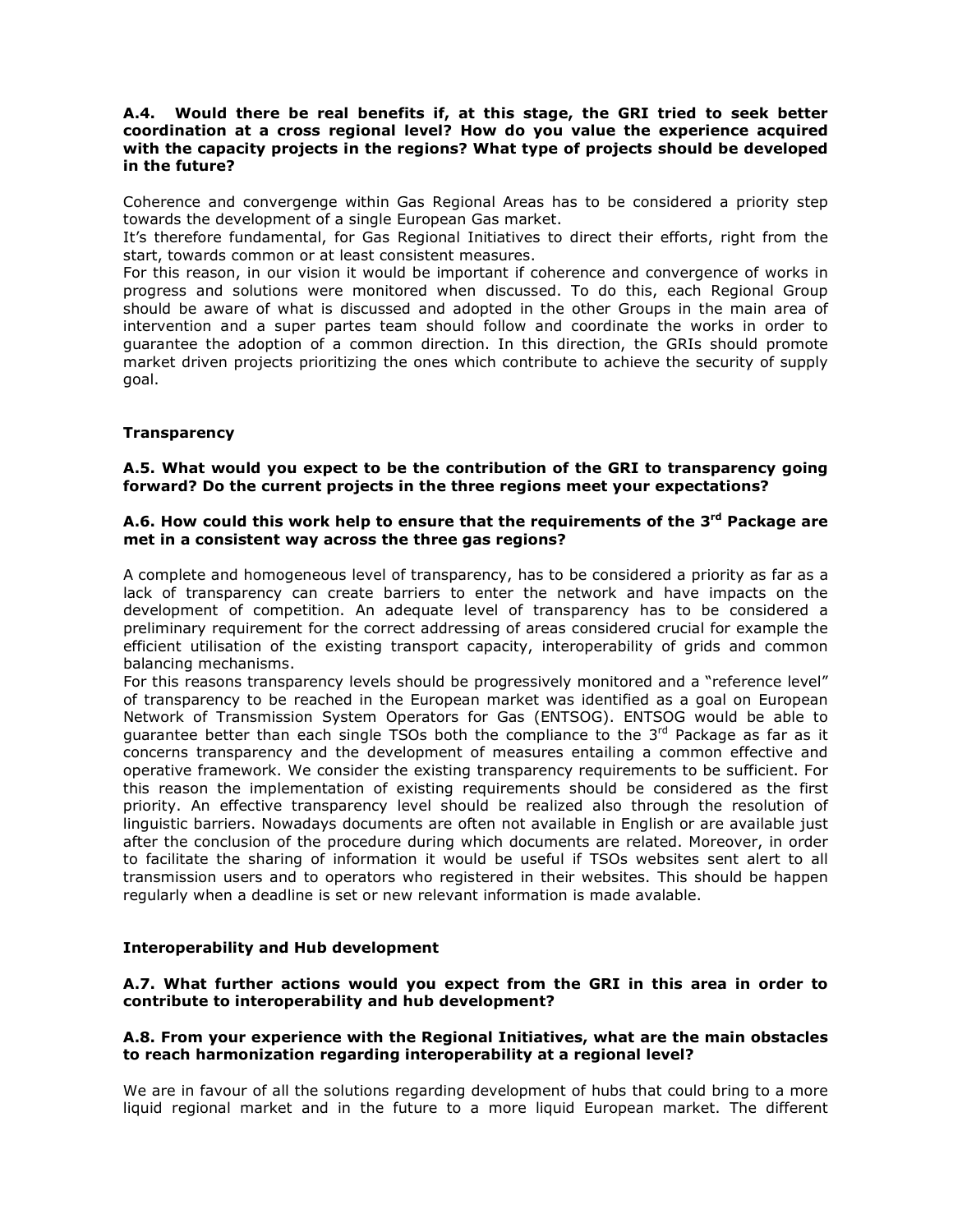# **A.4. Would there be real benefits if, at this stage, the GRI tried to seek better coordination at a cross regional level? How do you value the experience acquired with the capacity projects in the regions? What type of projects should be developed in the future?**

Coherence and convergenge within Gas Regional Areas has to be considered a priority step towards the development of a single European Gas market.

It's therefore fundamental, for Gas Regional Initiatives to direct their efforts, right from the start, towards common or at least consistent measures.

For this reason, in our vision it would be important if coherence and convergence of works in progress and solutions were monitored when discussed. To do this, each Regional Group should be aware of what is discussed and adopted in the other Groups in the main area of intervention and a super partes team should follow and coordinate the works in order to guarantee the adoption of a common direction. In this direction, the GRIs should promote market driven projects prioritizing the ones which contribute to achieve the security of supply goal.

## **Transparency**

# **A.5. What would you expect to be the contribution of the GRI to transparency going forward? Do the current projects in the three regions meet your expectations?**

# **A.6. How could this work help to ensure that the requirements of the 3rd Package are met in a consistent way across the three gas regions?**

A complete and homogeneous level of transparency, has to be considered a priority as far as a lack of transparency can create barriers to enter the network and have impacts on the development of competition. An adequate level of transparency has to be considered a preliminary requirement for the correct addressing of areas considered crucial for example the efficient utilisation of the existing transport capacity, interoperability of grids and common balancing mechanisms.

For this reasons transparency levels should be progressively monitored and a "reference level" of transparency to be reached in the European market was identified as a goal on European Network of Transmission System Operators for Gas (ENTSOG). ENTSOG would be able to guarantee better than each single TSOs both the compliance to the  $3<sup>rd</sup>$  Package as far as it concerns transparency and the development of measures entailing a common effective and operative framework. We consider the existing transparency requirements to be sufficient. For this reason the implementation of existing requirements should be considered as the first priority. An effective transparency level should be realized also through the resolution of linguistic barriers. Nowadays documents are often not available in English or are available just after the conclusion of the procedure during which documents are related. Moreover, in order to facilitate the sharing of information it would be useful if TSOs websites sent alert to all transmission users and to operators who registered in their websites. This should be happen regularly when a deadline is set or new relevant information is made avalable.

## **Interoperability and Hub development**

## **A.7. What further actions would you expect from the GRI in this area in order to contribute to interoperability and hub development?**

### **A.8. From your experience with the Regional Initiatives, what are the main obstacles to reach harmonization regarding interoperability at a regional level?**

We are in favour of all the solutions regarding development of hubs that could bring to a more liquid regional market and in the future to a more liquid European market. The different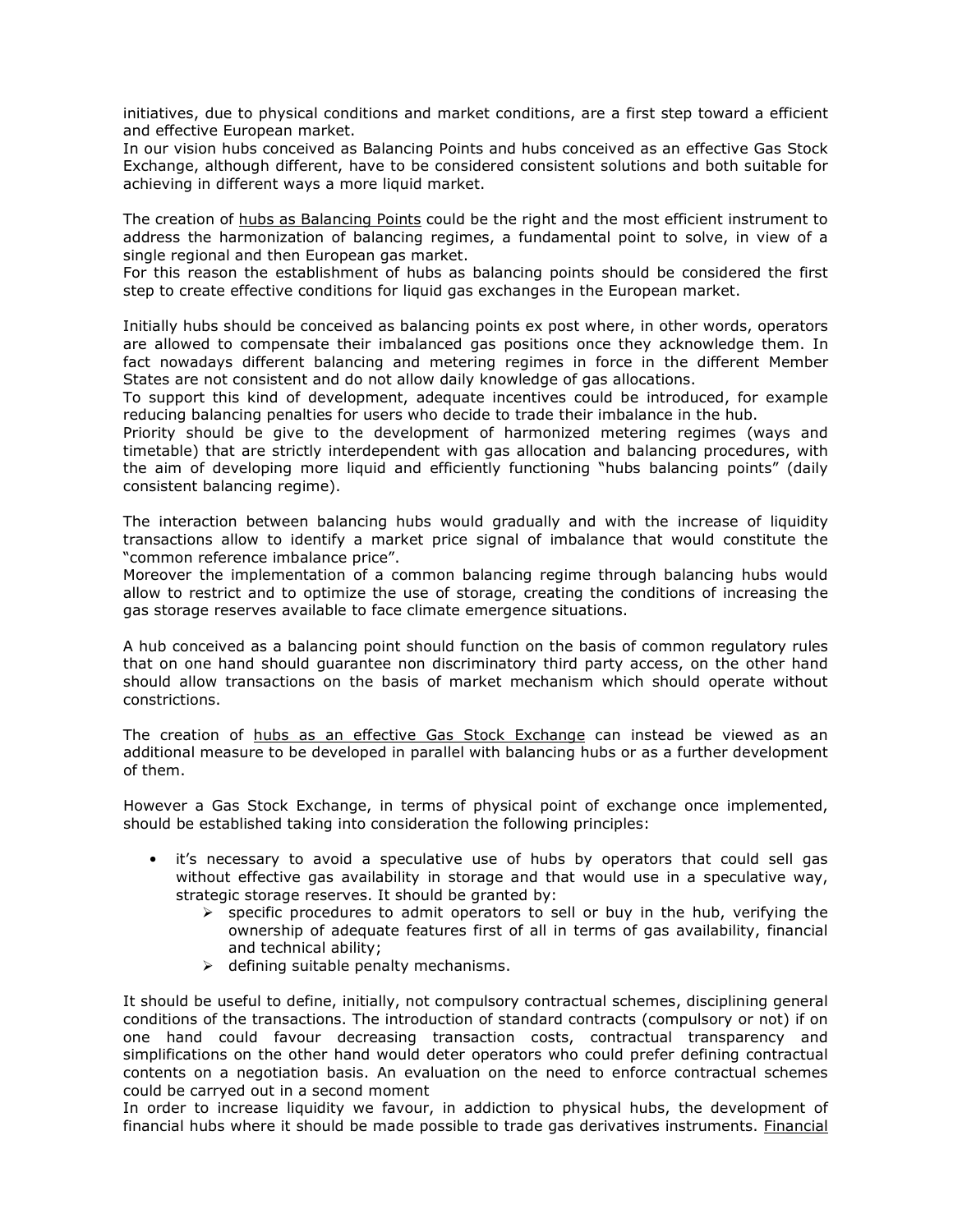initiatives, due to physical conditions and market conditions, are a first step toward a efficient and effective European market.

In our vision hubs conceived as Balancing Points and hubs conceived as an effective Gas Stock Exchange, although different, have to be considered consistent solutions and both suitable for achieving in different ways a more liquid market.

The creation of hubs as Balancing Points could be the right and the most efficient instrument to address the harmonization of balancing regimes, a fundamental point to solve, in view of a single regional and then European gas market.

For this reason the establishment of hubs as balancing points should be considered the first step to create effective conditions for liquid gas exchanges in the European market.

Initially hubs should be conceived as balancing points ex post where, in other words, operators are allowed to compensate their imbalanced gas positions once they acknowledge them. In fact nowadays different balancing and metering regimes in force in the different Member States are not consistent and do not allow daily knowledge of gas allocations.

To support this kind of development, adequate incentives could be introduced, for example reducing balancing penalties for users who decide to trade their imbalance in the hub.

Priority should be give to the development of harmonized metering regimes (ways and timetable) that are strictly interdependent with gas allocation and balancing procedures, with the aim of developing more liquid and efficiently functioning "hubs balancing points" (daily consistent balancing regime).

The interaction between balancing hubs would gradually and with the increase of liquidity transactions allow to identify a market price signal of imbalance that would constitute the "common reference imbalance price".

Moreover the implementation of a common balancing regime through balancing hubs would allow to restrict and to optimize the use of storage, creating the conditions of increasing the gas storage reserves available to face climate emergence situations.

A hub conceived as a balancing point should function on the basis of common regulatory rules that on one hand should guarantee non discriminatory third party access, on the other hand should allow transactions on the basis of market mechanism which should operate without constrictions.

The creation of hubs as an effective Gas Stock Exchange can instead be viewed as an additional measure to be developed in parallel with balancing hubs or as a further development of them.

However a Gas Stock Exchange, in terms of physical point of exchange once implemented, should be established taking into consideration the following principles:

- it's necessary to avoid a speculative use of hubs by operators that could sell gas without effective gas availability in storage and that would use in a speculative way, strategic storage reserves. It should be granted by:
	- $\triangleright$  specific procedures to admit operators to sell or buy in the hub, verifying the ownership of adequate features first of all in terms of gas availability, financial and technical ability;
	- $\triangleright$  defining suitable penalty mechanisms.

It should be useful to define, initially, not compulsory contractual schemes, disciplining general conditions of the transactions. The introduction of standard contracts (compulsory or not) if on one hand could favour decreasing transaction costs, contractual transparency and simplifications on the other hand would deter operators who could prefer defining contractual contents on a negotiation basis. An evaluation on the need to enforce contractual schemes could be carryed out in a second moment

In order to increase liquidity we favour, in addiction to physical hubs, the development of financial hubs where it should be made possible to trade gas derivatives instruments. Financial